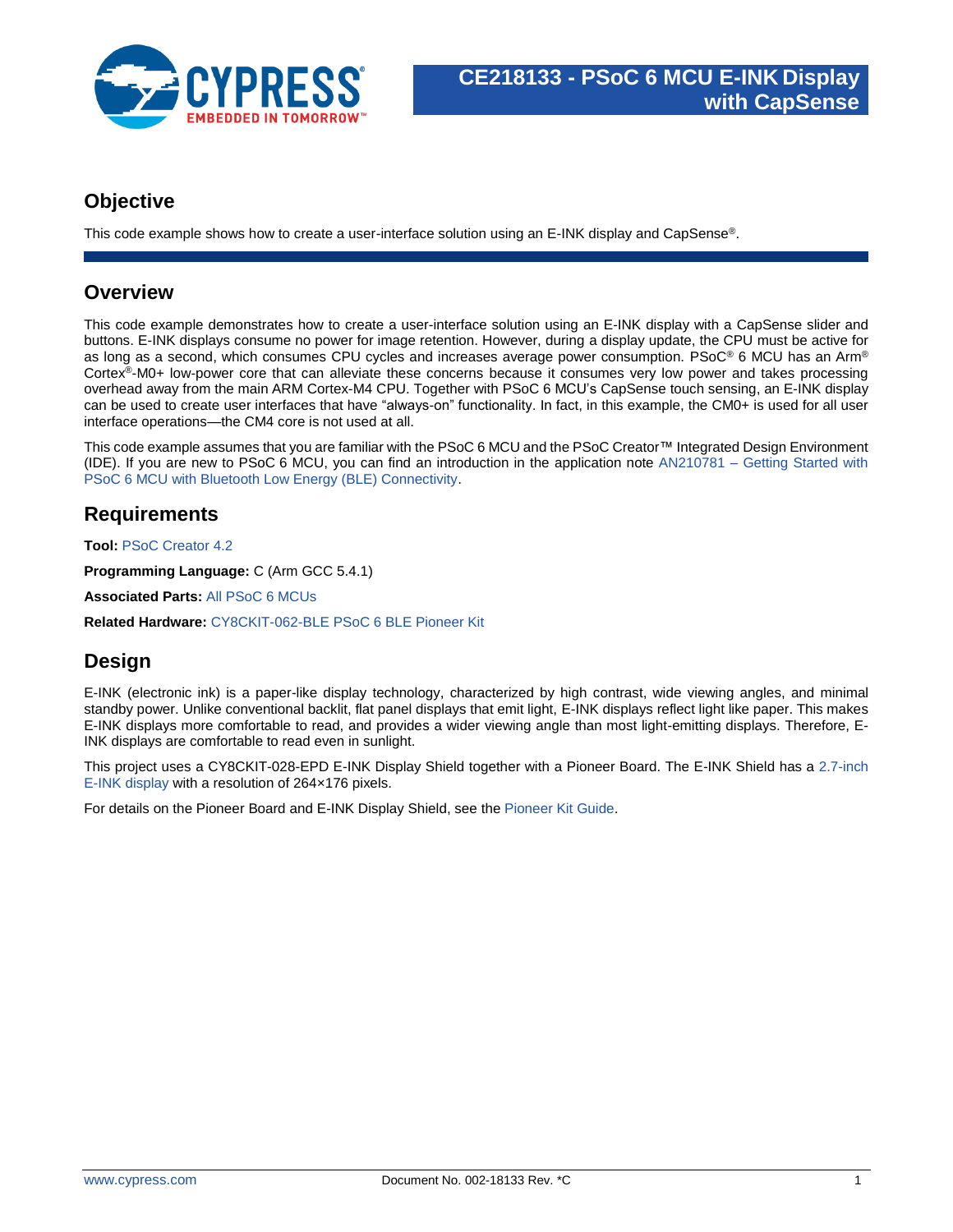

#### **Objective**

This code example shows how to create a user-interface solution using an E-INK display and CapSense®.

#### **Overview**

This code example demonstrates how to create a user-interface solution using an E-INK display with a CapSense slider and buttons. E-INK displays consume no power for image retention. However, during a display update, the CPU must be active for as long as a second, which consumes CPU cycles and increases average power consumption. PSoC® 6 MCU has an Arm® Cortex®-M0+ low-power core that can alleviate these concerns because it consumes very low power and takes processing overhead away from the main ARM Cortex-M4 CPU. Together with PSoC 6 MCU's CapSense touch sensing, an E-INK display can be used to create user interfaces that have "always-on" functionality. In fact, in this example, the CM0+ is used for all user interface operations—the CM4 core is not used at all.

This code example assumes that you are familiar with the PSoC 6 MCU and the PSoC Creator™ Integrated Design Environment (IDE). If you are new to PSoC 6 MCU, you can find an introduction in the application note AN210781 – [Getting Started with](http://www.cypress.com/an210781)  [PSoC 6 MCU with Bluetooth Low Energy \(BLE\) Connectivity.](http://www.cypress.com/an210781)

### **Requirements**

**Tool:** [PSoC Creator 4.2](http://www.cypress.com/psoccreator)

**Programming Language:** C (Arm GCC 5.4.1)

**Associated Parts:** [All PSoC](http://www.cypress.com/psoc6) 6 MCUs

**Related Hardware:** CY8CKIT-062-BLE [PSoC 6 BLE Pioneer Kit](http://www.cypress.com/CY8CKIT-062-BLE)

## **Design**

E-INK (electronic ink) is a paper-like display technology, characterized by high contrast, wide viewing angles, and minimal standby power. Unlike conventional backlit, flat panel displays that emit light, E-INK displays reflect light like paper. This makes E-INK displays more comfortable to read, and provides a wider viewing angle than most light-emitting displays. Therefore, E-INK displays are comfortable to read even in sunlight.

This project uses a CY8CKIT-028-EPD E-INK Display Shield together with a Pioneer Board. The E-INK Shield has a [2.7-inch](http://www.pervasivedisplays.com/products/271)  E-INK [display](http://www.pervasivedisplays.com/products/271) with a resolution of 264×176 pixels.

For details on the Pioneer Board and E-INK Display Shield, see the [Pioneer Kit Guide.](http://www.cypress.com/CY8CKIT-062-BLE)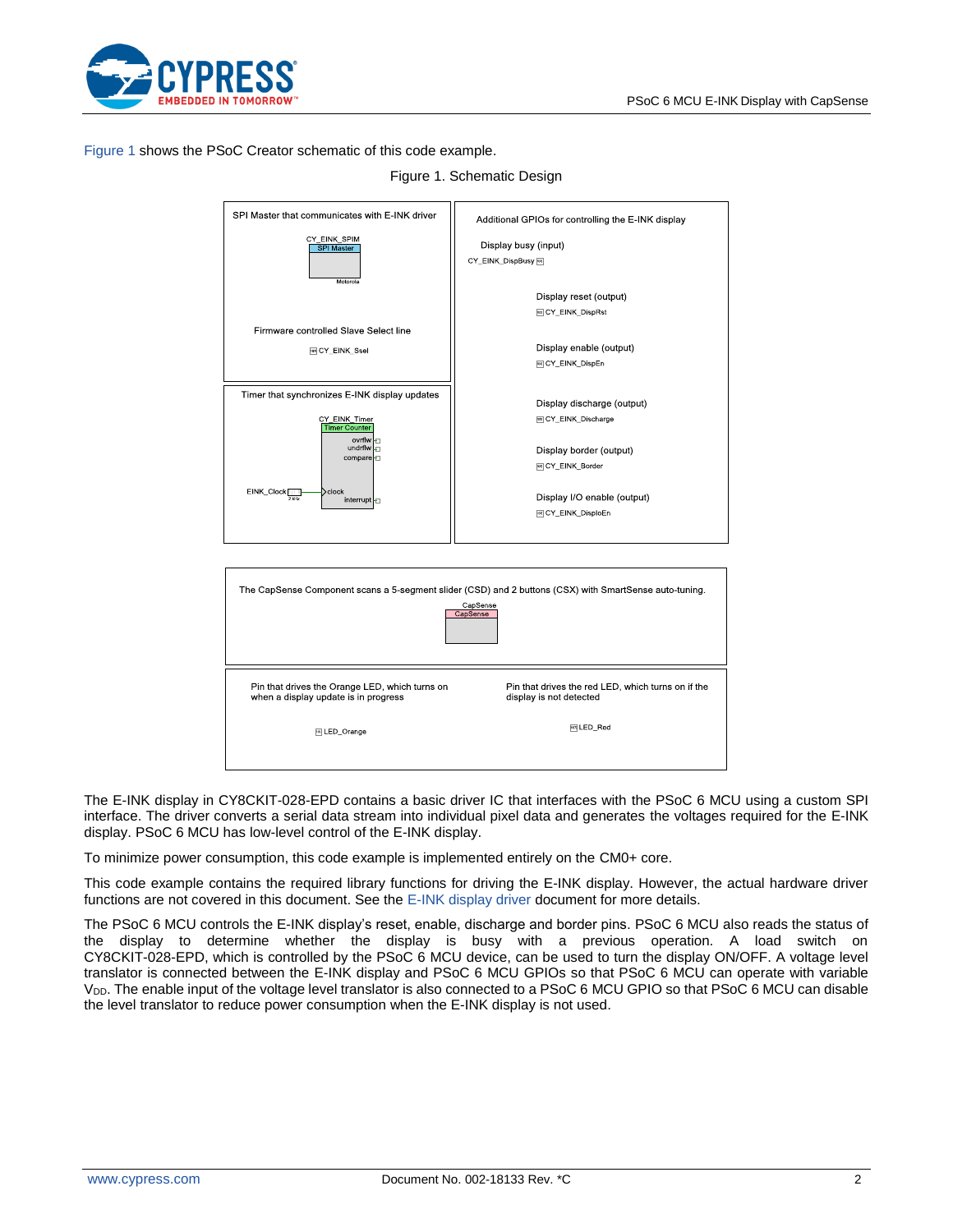

#### <span id="page-1-0"></span>[Figure 1](#page-1-0) shows the PSoC Creator schematic of this code example.

| SPI Master that communicates with E-INK driver                          | Additional GPIOs for controlling the E-INK display                                                     |
|-------------------------------------------------------------------------|--------------------------------------------------------------------------------------------------------|
| CY_EINK_SPIM                                                            | Display busy (input)                                                                                   |
| <b>SPI</b> Master                                                       |                                                                                                        |
|                                                                         | CY_EINK_DispBusy                                                                                       |
| Motorola                                                                |                                                                                                        |
|                                                                         | Display reset (output)                                                                                 |
|                                                                         | <sup>523</sup> CY_EINK_DispRst                                                                         |
|                                                                         |                                                                                                        |
| Firmware controlled Slave Select line                                   |                                                                                                        |
| <b>ENCY EINK Ssel</b>                                                   | Display enable (output)                                                                                |
|                                                                         | 网 CY_EINK_DispEn                                                                                       |
|                                                                         |                                                                                                        |
| Timer that synchronizes E-INK display updates                           |                                                                                                        |
|                                                                         | Display discharge (output)                                                                             |
| CY_EINK_Timer                                                           | <sup>588</sup> CY_EINK_Discharge                                                                       |
| <b>Timer Counter</b>                                                    |                                                                                                        |
| $ovrflw$ $\Box$<br>undrflw<br>F                                         |                                                                                                        |
| compare                                                                 | Display border (output)                                                                                |
|                                                                         | 网 CY_EINK_Border                                                                                       |
|                                                                         |                                                                                                        |
| EINK_Clock<br>$\textcolor{black}{\text{clock}}$<br>$2$ kHz<br>interrupt | Display I/O enable (output)                                                                            |
|                                                                         | <sup>583</sup> CY_EINK_DisploEn                                                                        |
|                                                                         |                                                                                                        |
|                                                                         |                                                                                                        |
|                                                                         |                                                                                                        |
|                                                                         |                                                                                                        |
|                                                                         |                                                                                                        |
|                                                                         | The CapSense Component scans a 5-segment slider (CSD) and 2 buttons (CSX) with SmartSense auto-tuning. |
|                                                                         | CapSense                                                                                               |
|                                                                         | CapSense                                                                                               |
|                                                                         |                                                                                                        |
|                                                                         |                                                                                                        |
|                                                                         |                                                                                                        |
|                                                                         |                                                                                                        |
| Pin that drives the Orange LED, which turns on                          | Pin that drives the red LED, which turns on if the                                                     |
| when a display update is in progress                                    | display is not detected                                                                                |
|                                                                         |                                                                                                        |
| 回 LED_Orange                                                            | 网LED Red                                                                                               |
|                                                                         |                                                                                                        |
|                                                                         |                                                                                                        |
|                                                                         |                                                                                                        |

#### Figure 1. Schematic Design

The E-INK display in CY8CKIT-028-EPD contains a basic driver IC that interfaces with the PSoC 6 MCU using a custom SPI interface. The driver converts a serial data stream into individual pixel data and generates the voltages required for the E-INK display. PSoC 6 MCU has low-level control of the E-INK display.

To minimize power consumption, this code example is implemented entirely on the CM0+ core.

This code example contains the required library functions for driving the E-INK display. However, the actual hardware driver functions are not covered in this document. See the E-INK [display driver](http://www.pervasivedisplays.com/_literature_220873/COG_Driver_Interface_Timing_for_small_size_G2_V231) document for more details.

The PSoC 6 MCU controls the E-INK display's reset, enable, discharge and border pins. PSoC 6 MCU also reads the status of the display to determine whether the display is busy with a previous operation. A load switch on CY8CKIT-028-EPD, which is controlled by the PSoC 6 MCU device, can be used to turn the display ON/OFF. A voltage level translator is connected between the E-INK display and PSoC 6 MCU GPIOs so that PSoC 6 MCU can operate with variable V<sub>DD</sub>. The enable input of the voltage level translator is also connected to a PSoC 6 MCU GPIO so that PSoC 6 MCU can disable the level translator to reduce power consumption when the E-INK display is not used.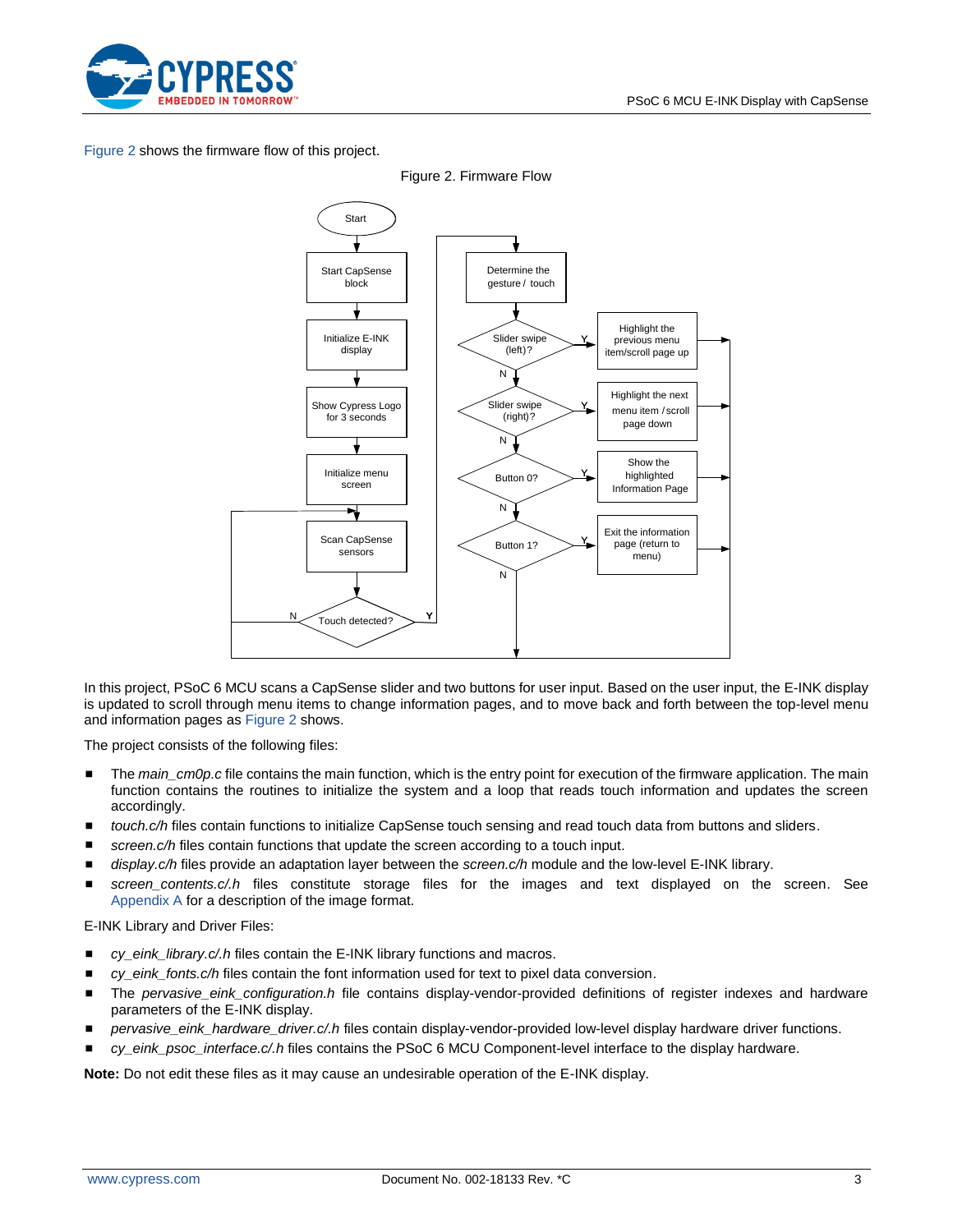

<span id="page-2-0"></span>[Figure 2](#page-2-0) shows the firmware flow of this project.



Figure 2. Firmware Flow

In this project, PSoC 6 MCU scans a CapSense slider and two buttons for user input. Based on the user input, the E-INK display is updated to scroll through menu items to change information pages, and to move back and forth between the top-level menu and information pages a[s Figure 2](#page-2-0) shows.

The project consists of the following files:

- The *main\_cm0p.c* file contains the main function, which is the entry point for execution of the firmware application. The main function contains the routines to initialize the system and a loop that reads touch information and updates the screen accordingly.
- touch.c/h files contain functions to initialize CapSense touch sensing and read touch data from buttons and sliders.
- screen.c/h files contain functions that update the screen according to a touch input.
- display.c/h files provide an adaptation layer between the *screen.c/h* module and the low-level E-INK library.
- *screen\_contents.c/.h* files constitute storage files for the images and text displayed on the screen. See [Appendix A](#page-7-0) for a description of the image format.

E-INK Library and Driver Files:

- cy\_eink\_library.c/.h files contain the E-INK library functions and macros.
- cy\_eink\_fonts.c/h files contain the font information used for text to pixel data conversion.
- The *pervasive\_eink\_configuration.h* file contains display-vendor-provided definitions of register indexes and hardware parameters of the E-INK display.
- pervasive\_eink\_hardware\_driver.c/.h files contain display-vendor-provided low-level display hardware driver functions.
- cy\_eink\_psoc\_interface.c/.h files contains the PSoC 6 MCU Component-level interface to the display hardware.

**Note:** Do not edit these files as it may cause an undesirable operation of the E-INK display.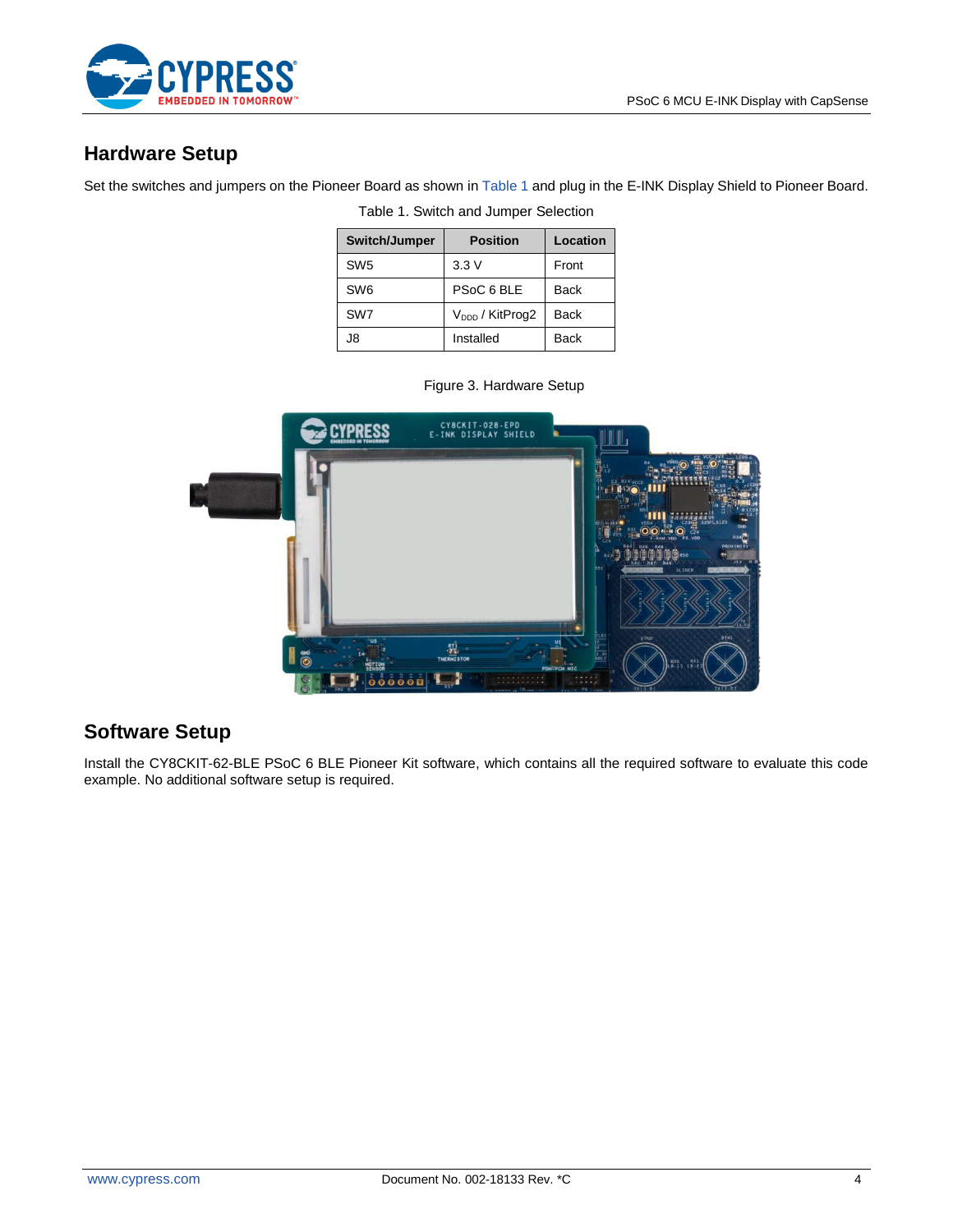

## **Hardware Setup**

<span id="page-3-0"></span>Set the switches and jumpers on the Pioneer Board as shown i[n Table 1](#page-3-0) and plug in the E-INK Display Shield to Pioneer Board.

| Switch/Jumper   | <b>Position</b>             | Location    |
|-----------------|-----------------------------|-------------|
| SW <sub>5</sub> | 3.3V                        | Front       |
| SW <sub>6</sub> | PSoC 6 BLE                  | <b>Back</b> |
| SW7             | V <sub>DDD</sub> / KitProg2 | <b>Back</b> |
| J8              | Installed                   | <b>Back</b> |

Table 1. Switch and Jumper Selection

|                                      | CY8CKIT-028-EPD<br>E-INK DISPLAY SHIELD |             |                                                                                                                                                                                                                                                                                                                                                                                                                                                                                                      |
|--------------------------------------|-----------------------------------------|-------------|------------------------------------------------------------------------------------------------------------------------------------------------------------------------------------------------------------------------------------------------------------------------------------------------------------------------------------------------------------------------------------------------------------------------------------------------------------------------------------------------------|
|                                      |                                         |             | $-LE05.6$<br>$rac{1}{228}$ C23 = 525 L5125<br>╍<br>VDDA N<br>GND                                                                                                                                                                                                                                                                                                                                                                                                                                     |
|                                      |                                         | <b>R51</b>  | $\overline{\mathbf{O}}$ <b>ELIN</b> $\overline{\mathbf{O}}$ $\overline{C}$ $\overline{C}$ $\overline{C}$ $\overline{C}$ $\overline{C}$ $\overline{C}$ $\overline{C}$ $\overline{C}$ $\overline{C}$ $\overline{C}$ $\overline{C}$ $\overline{C}$ $\overline{C}$ $\overline{C}$ $\overline{C}$ $\overline{C}$ $\overline{C}$ $\overline{C}$ $\overline{C}$ $\overline{C}$ $\overline{C}$<br><b>R34</b><br>PROXIMITY<br><b>P4A</b><br><b>TILE RSO</b><br>313.<br>R47 R45<br><b>R45</b><br><b>SLIDER</b> |
| ้นธ                                  | $\frac{871}{275}$                       | ELEC        | <b>BTN1</b><br>STND                                                                                                                                                                                                                                                                                                                                                                                                                                                                                  |
| $\ddot{\bullet}$<br>MOTTON<br>000000 | <b>THERMISTOR</b>                       | PDM-PCM MIC | $\int_{c\,8.15}$<br>RX1                                                                                                                                                                                                                                                                                                                                                                                                                                                                              |

# Figure 3. Hardware Setup

## **Software Setup**

Install the CY8CKIT-62-BLE PSoC 6 BLE Pioneer Kit software, which contains all the required software to evaluate this code example. No additional software setup is required.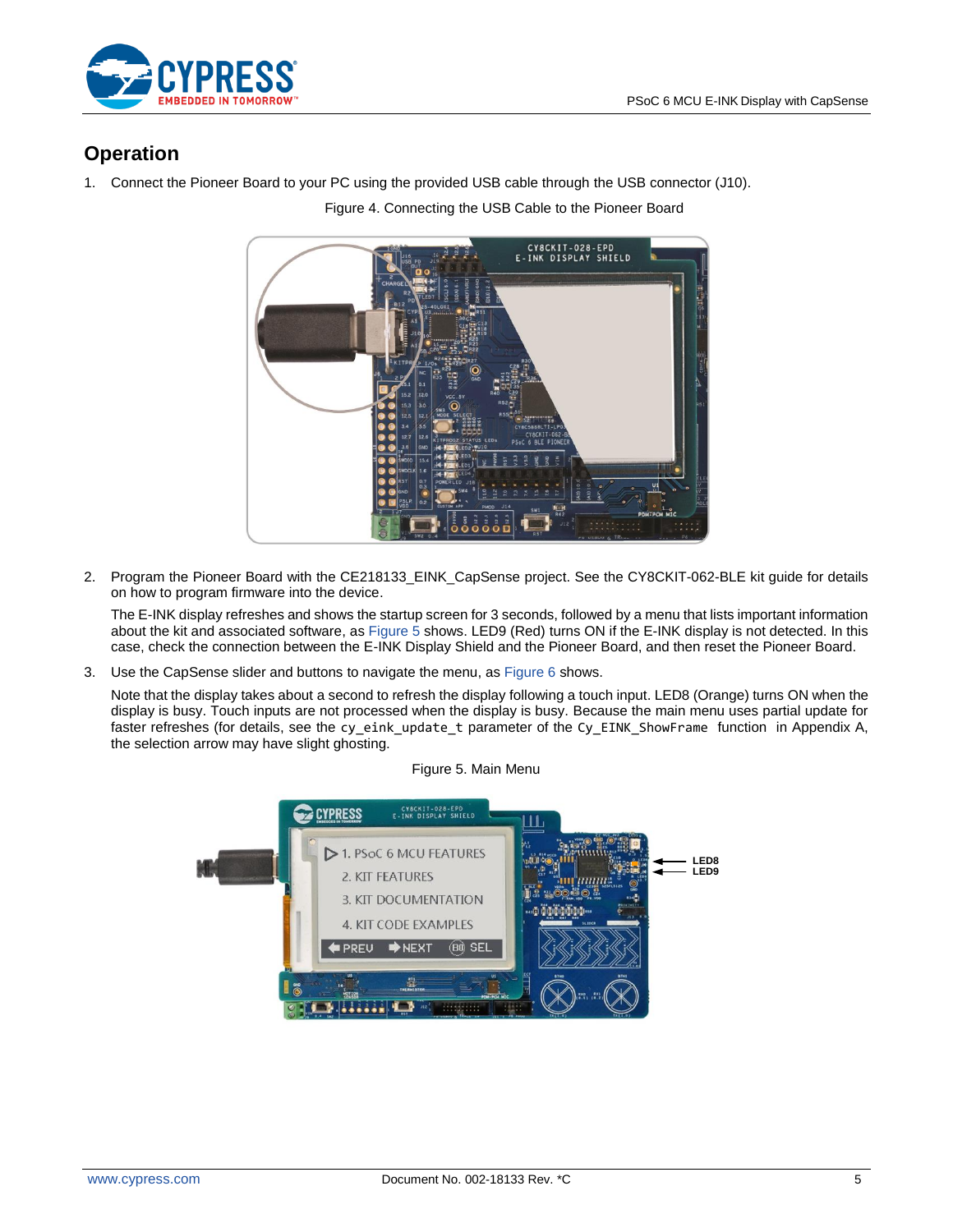

## **Operation**

1. Connect the Pioneer Board to your PC using the provided USB cable through the USB connector (J10).

Figure 4. Connecting the USB Cable to the Pioneer Board



2. Program the Pioneer Board with the CE218133 EINK CapSense project. See the CY8CKIT-062-BLE kit guide for details on how to program firmware into the device.

The E-INK display refreshes and shows the startup screen for 3 seconds, followed by a menu that lists important information about the kit and associated software, as [Figure 5](#page-4-0) shows. LED9 (Red) turns ON if the E-INK display is not detected. In this case, check the connection between the E-INK Display Shield and the Pioneer Board, and then reset the Pioneer Board.

3. Use the CapSense slider and buttons to navigate the menu, as [Figure 6](#page-5-0) shows.

<span id="page-4-0"></span>Note that the display takes about a second to refresh the display following a touch input. LED8 (Orange) turns ON when the display is busy. Touch inputs are not processed when the display is busy. Because the main menu uses partial update for faster refreshes (for details, see the cy\_eink\_update\_t parameter of the Cy\_EINK\_ShowFrame function in Appendix [A,](#page-7-0) the selection arrow may have slight ghosting.

#### Figure 5. Main Menu

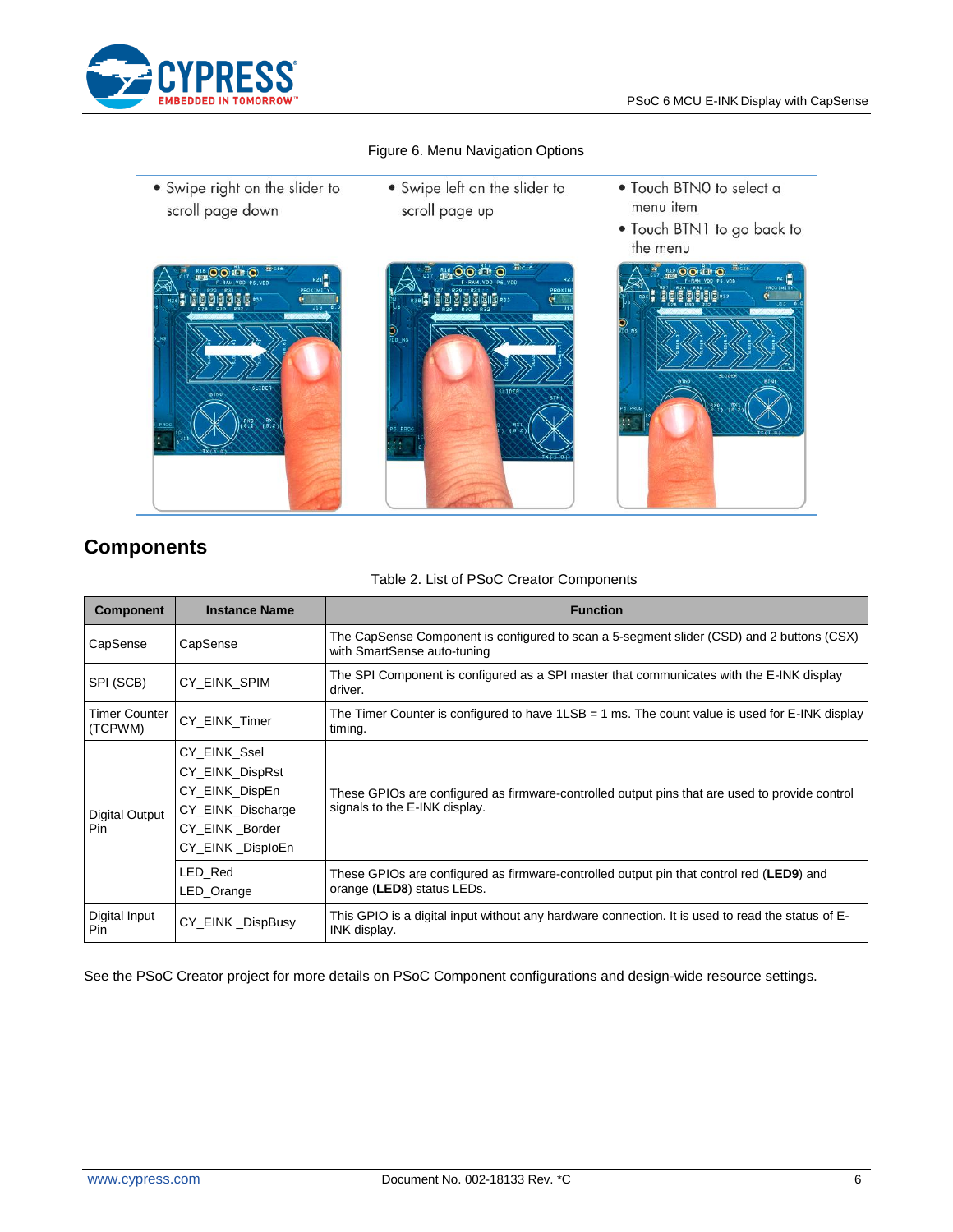

<span id="page-5-0"></span>

#### Figure 6. Menu Navigation Options

# **Components**

| <b>Component</b>                | <b>Instance Name</b>                                                                                         | <b>Function</b>                                                                                                                 |  |
|---------------------------------|--------------------------------------------------------------------------------------------------------------|---------------------------------------------------------------------------------------------------------------------------------|--|
| CapSense                        | CapSense                                                                                                     | The CapSense Component is configured to scan a 5-segment slider (CSD) and 2 buttons (CSX)<br>with SmartSense auto-tuning        |  |
| SPI (SCB)                       | CY EINK SPIM                                                                                                 | The SPI Component is configured as a SPI master that communicates with the E-INK display<br>driver.                             |  |
| <b>Timer Counter</b><br>(TCPWM) | CY_EINK_Timer                                                                                                | The Timer Counter is configured to have $1LSB = 1$ ms. The count value is used for E-INK display<br>timing.                     |  |
| Digital Output<br>Pin           | CY_EINK_Ssel<br>CY_EINK_DispRst<br>CY_EINK_DispEn<br>CY_EINK_Discharge<br>CY_EINK_Border<br>CY_EINK_DisploEn | These GPIOs are configured as firmware-controlled output pins that are used to provide control<br>signals to the E-INK display. |  |
|                                 | LED Red<br>LED_Orange                                                                                        | These GPIOs are configured as firmware-controlled output pin that control red (LED9) and<br>orange (LED8) status LEDs.          |  |
| Digital Input<br>Pin.           | CY_EINK_DispBusy                                                                                             | This GPIO is a digital input without any hardware connection. It is used to read the status of E-<br>INK display.               |  |

#### Table 2. List of PSoC Creator Components

See the PSoC Creator project for more details on PSoC Component configurations and design-wide resource settings.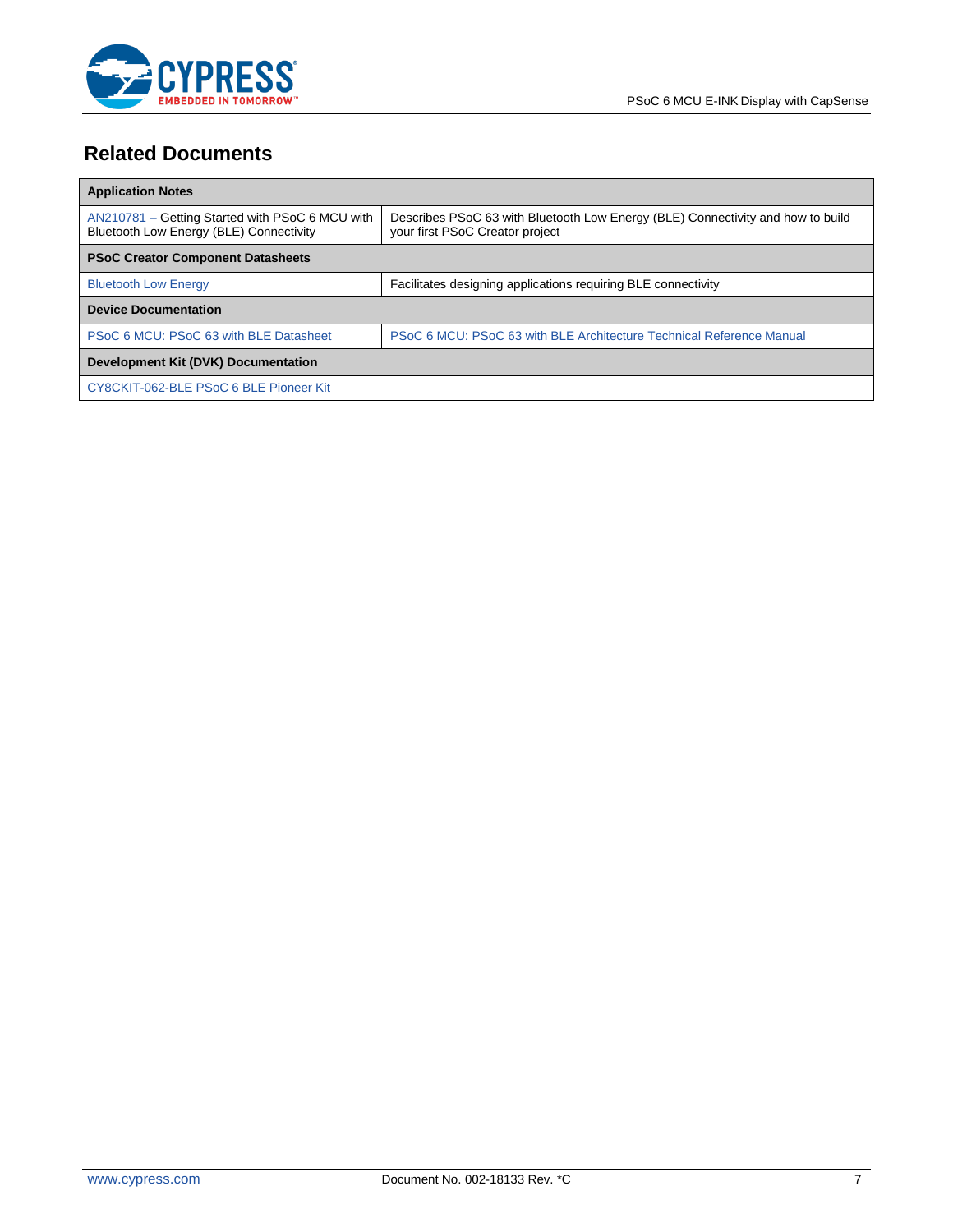

# **Related Documents**

| <b>Application Notes</b>                                                                   |                                                                                                                    |
|--------------------------------------------------------------------------------------------|--------------------------------------------------------------------------------------------------------------------|
| AN210781 – Getting Started with PSoC 6 MCU with<br>Bluetooth Low Energy (BLE) Connectivity | Describes PSoC 63 with Bluetooth Low Energy (BLE) Connectivity and how to build<br>your first PSoC Creator project |
| <b>PSoC Creator Component Datasheets</b>                                                   |                                                                                                                    |
| <b>Bluetooth Low Energy</b>                                                                | Facilitates designing applications requiring BLE connectivity                                                      |
| <b>Device Documentation</b>                                                                |                                                                                                                    |
| PSoC 6 MCU: PSoC 63 with BLE Datasheet                                                     | PSoC 6 MCU: PSoC 63 with BLE Architecture Technical Reference Manual                                               |
| Development Kit (DVK) Documentation                                                        |                                                                                                                    |
| CY8CKIT-062-BLE PSoC 6 BLE Pioneer Kit                                                     |                                                                                                                    |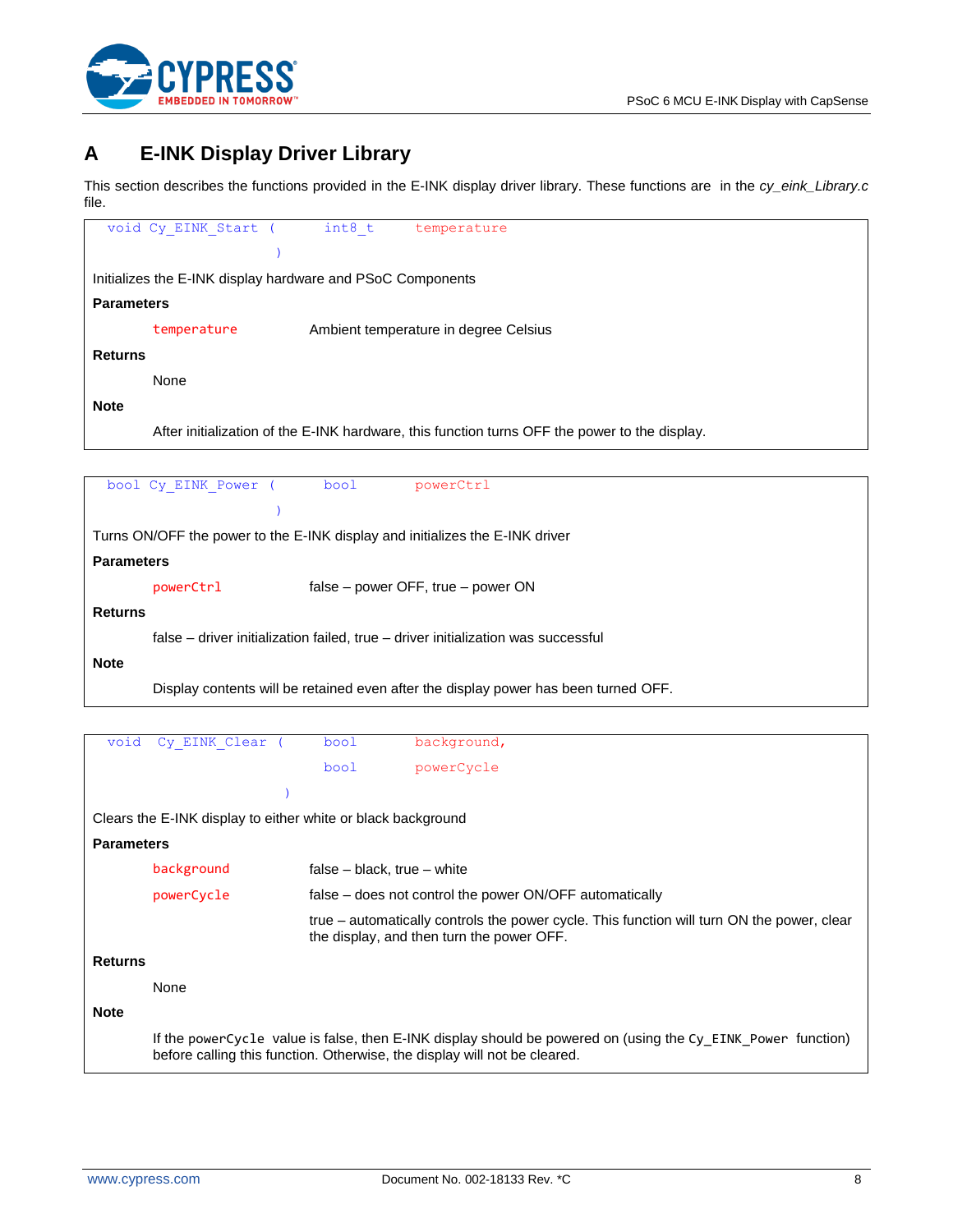

# <span id="page-7-0"></span>**A E-INK Display Driver Library**

This section describes the functions provided in the E-INK display driver library. These functions are in the *cy\_eink\_Library.c* file.

| void Cy_EINK_Start ( int8_t<br>temperature                                                    |
|-----------------------------------------------------------------------------------------------|
|                                                                                               |
| Initializes the E-INK display hardware and PSoC Components                                    |
| <b>Parameters</b>                                                                             |
| Ambient temperature in degree Celsius<br>temperature                                          |
| <b>Returns</b>                                                                                |
| None                                                                                          |
| <b>Note</b>                                                                                   |
| After initialization of the E-INK hardware, this function turns OFF the power to the display. |
|                                                                                               |
| bool<br>bool Cy EINK Power (<br>powerCtrl                                                     |
|                                                                                               |
| Turns ON/OFF the power to the E-INK display and initializes the E-INK driver                  |
| <b>Parameters</b>                                                                             |
| powerCtrl<br>false – power OFF, true – power ON                                               |
| <b>Returns</b>                                                                                |
| false – driver initialization failed, true – driver initialization was successful             |
| <b>Note</b>                                                                                   |
| Display contents will be retained even after the display power has been turned OFF.           |
|                                                                                               |

```
void Cy_EINK_Clear ( bool background,
                                 bool powerCycle
                           )
Clears the E-INK display to either white or black background
Parameters
        background false – black, true – white
        powerCycle false – does not control the power ON/OFF automatically
                               true – automatically controls the power cycle. This function will turn ON the power, clear 
                               the display, and then turn the power OFF.
Returns
        None
Note
        If the powerCycle value is false, then E-INK display should be powered on (using the Cy_EINK_Power function) 
        before calling this function. Otherwise, the display will not be cleared.
```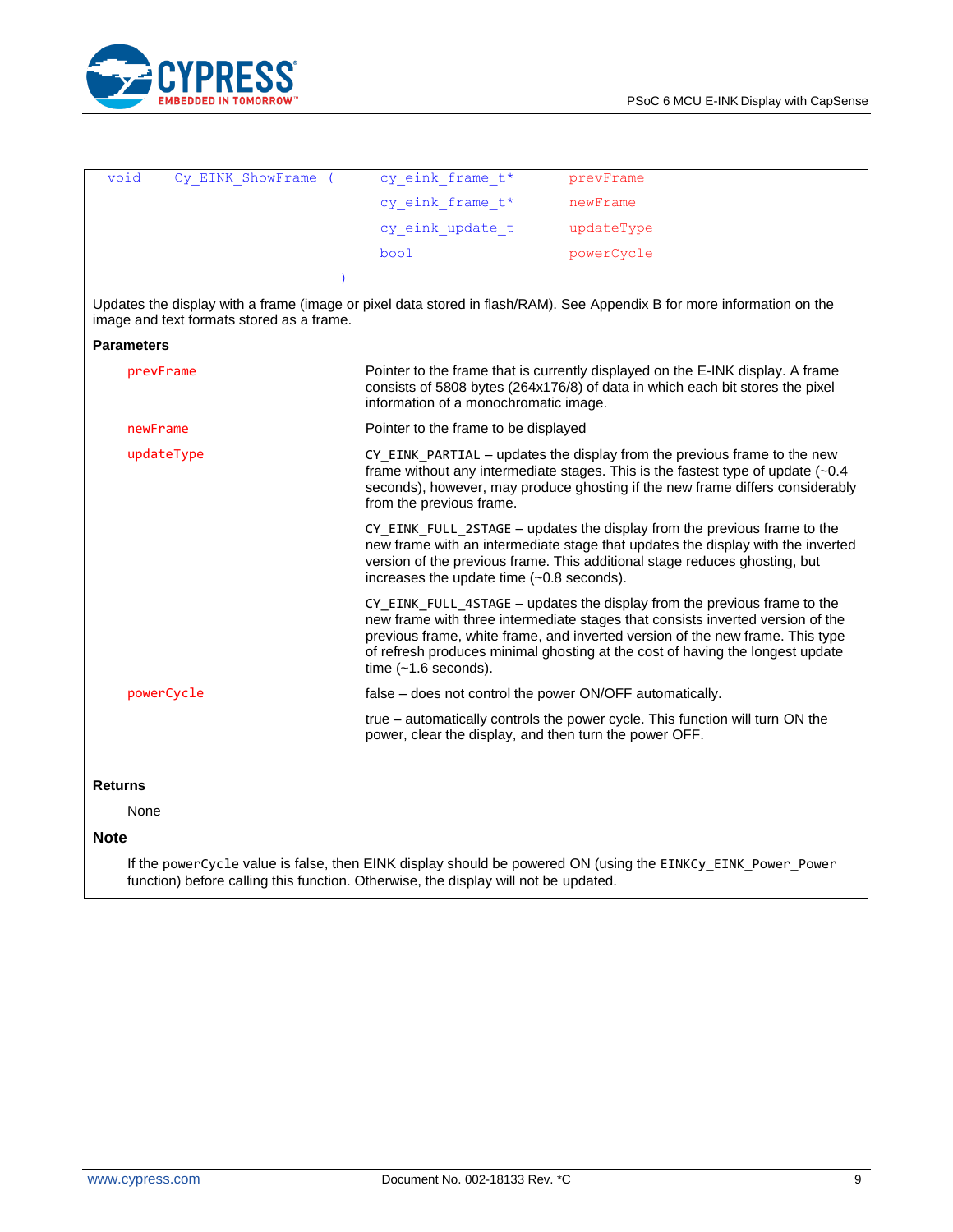

| void              | Cy EINK ShowFrame (                       | cy eink frame t*                                                                                                                                                                                                                                                            | prevFrame                                                                                                                                                                                                                                                                                                                    |  |
|-------------------|-------------------------------------------|-----------------------------------------------------------------------------------------------------------------------------------------------------------------------------------------------------------------------------------------------------------------------------|------------------------------------------------------------------------------------------------------------------------------------------------------------------------------------------------------------------------------------------------------------------------------------------------------------------------------|--|
|                   |                                           | cy_eink_frame_t*                                                                                                                                                                                                                                                            | newFrame                                                                                                                                                                                                                                                                                                                     |  |
|                   |                                           | cy eink update t                                                                                                                                                                                                                                                            | updateType                                                                                                                                                                                                                                                                                                                   |  |
|                   |                                           | bool                                                                                                                                                                                                                                                                        | powerCycle                                                                                                                                                                                                                                                                                                                   |  |
|                   |                                           |                                                                                                                                                                                                                                                                             |                                                                                                                                                                                                                                                                                                                              |  |
|                   | image and text formats stored as a frame. |                                                                                                                                                                                                                                                                             | Updates the display with a frame (image or pixel data stored in flash/RAM). See Appendix B for more information on the                                                                                                                                                                                                       |  |
| <b>Parameters</b> |                                           |                                                                                                                                                                                                                                                                             |                                                                                                                                                                                                                                                                                                                              |  |
| prevFrame         |                                           | information of a monochromatic image.                                                                                                                                                                                                                                       | Pointer to the frame that is currently displayed on the E-INK display. A frame<br>consists of 5808 bytes (264x176/8) of data in which each bit stores the pixel                                                                                                                                                              |  |
| newFrame          |                                           | Pointer to the frame to be displayed                                                                                                                                                                                                                                        |                                                                                                                                                                                                                                                                                                                              |  |
| updateType        |                                           | CY EINK PARTIAL – updates the display from the previous frame to the new<br>frame without any intermediate stages. This is the fastest type of update $(-0.4)$<br>seconds), however, may produce ghosting if the new frame differs considerably<br>from the previous frame. |                                                                                                                                                                                                                                                                                                                              |  |
|                   |                                           | increases the update time $(-0.8 \text{ seconds}).$                                                                                                                                                                                                                         | CY EINK FULL 2STAGE – updates the display from the previous frame to the<br>new frame with an intermediate stage that updates the display with the inverted<br>version of the previous frame. This additional stage reduces ghosting, but                                                                                    |  |
|                   |                                           | time $(-1.6$ seconds).                                                                                                                                                                                                                                                      | CY EINK FULL 4STAGE - updates the display from the previous frame to the<br>new frame with three intermediate stages that consists inverted version of the<br>previous frame, white frame, and inverted version of the new frame. This type<br>of refresh produces minimal ghosting at the cost of having the longest update |  |
| powerCycle        |                                           | false – does not control the power ON/OFF automatically.                                                                                                                                                                                                                    |                                                                                                                                                                                                                                                                                                                              |  |

#### **Returns**

None

#### **Note**

If the powerCycle value is false, then EINK display should be powered ON (using the EINKCy\_EINK\_Power\_Power function) before calling this function. Otherwise, the display will not be updated.

true – automatically controls the power cycle. This function will turn ON the

power, clear the display, and then turn the power OFF.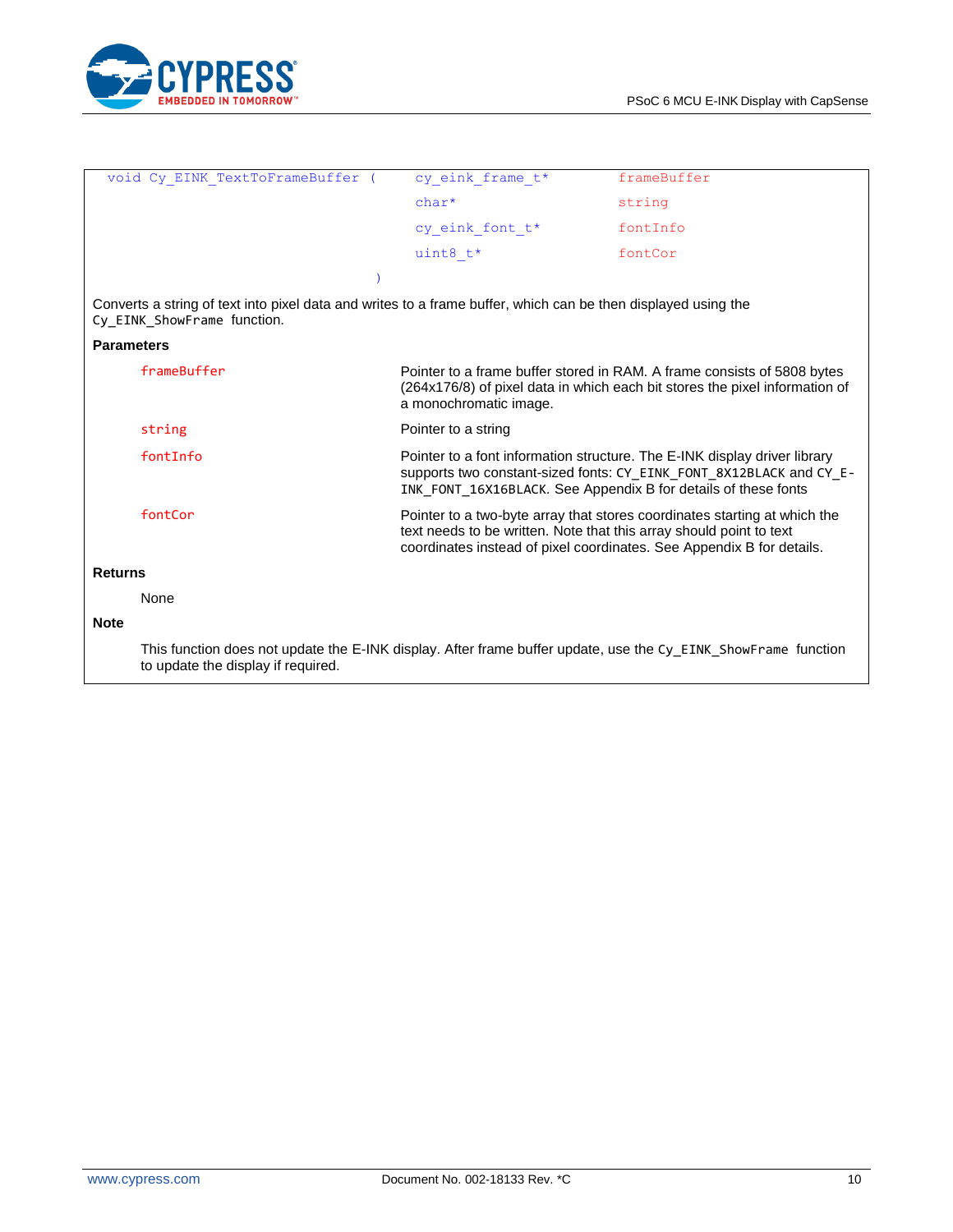

|                   |                                                                                                                                                      |                                                                                                                                              | frameBuffer                                                                                                                                            |
|-------------------|------------------------------------------------------------------------------------------------------------------------------------------------------|----------------------------------------------------------------------------------------------------------------------------------------------|--------------------------------------------------------------------------------------------------------------------------------------------------------|
|                   | void Cy EINK TextToFrameBuffer (                                                                                                                     | cy eink frame t*                                                                                                                             |                                                                                                                                                        |
|                   |                                                                                                                                                      | $char*$                                                                                                                                      | string                                                                                                                                                 |
|                   |                                                                                                                                                      | cy eink font t*                                                                                                                              | fontInfo                                                                                                                                               |
|                   |                                                                                                                                                      | uint8 $t*$                                                                                                                                   | fontCor                                                                                                                                                |
|                   |                                                                                                                                                      |                                                                                                                                              |                                                                                                                                                        |
|                   | Converts a string of text into pixel data and writes to a frame buffer, which can be then displayed using the<br>Cy_EINK_ShowFrame function.         |                                                                                                                                              |                                                                                                                                                        |
| <b>Parameters</b> |                                                                                                                                                      |                                                                                                                                              |                                                                                                                                                        |
|                   | frameBuffer                                                                                                                                          | a monochromatic image.                                                                                                                       | Pointer to a frame buffer stored in RAM. A frame consists of 5808 bytes<br>(264x176/8) of pixel data in which each bit stores the pixel information of |
|                   | string                                                                                                                                               | Pointer to a string                                                                                                                          |                                                                                                                                                        |
|                   | fontInfo                                                                                                                                             | INK FONT 16X16BLACK. See Appendix B for details of these fonts                                                                               | Pointer to a font information structure. The E-INK display driver library<br>supports two constant-sized fonts: CY_EINK_FONT_8X12BLACK and CY_E-       |
|                   | fontCor                                                                                                                                              | text needs to be written. Note that this array should point to text<br>coordinates instead of pixel coordinates. See Appendix B for details. | Pointer to a two-byte array that stores coordinates starting at which the                                                                              |
| <b>Returns</b>    |                                                                                                                                                      |                                                                                                                                              |                                                                                                                                                        |
|                   | None                                                                                                                                                 |                                                                                                                                              |                                                                                                                                                        |
| <b>Note</b>       |                                                                                                                                                      |                                                                                                                                              |                                                                                                                                                        |
|                   | This function does not update the E-INK display. After frame buffer update, use the Cy EINK ShowFrame function<br>to update the display if required. |                                                                                                                                              |                                                                                                                                                        |
|                   |                                                                                                                                                      |                                                                                                                                              |                                                                                                                                                        |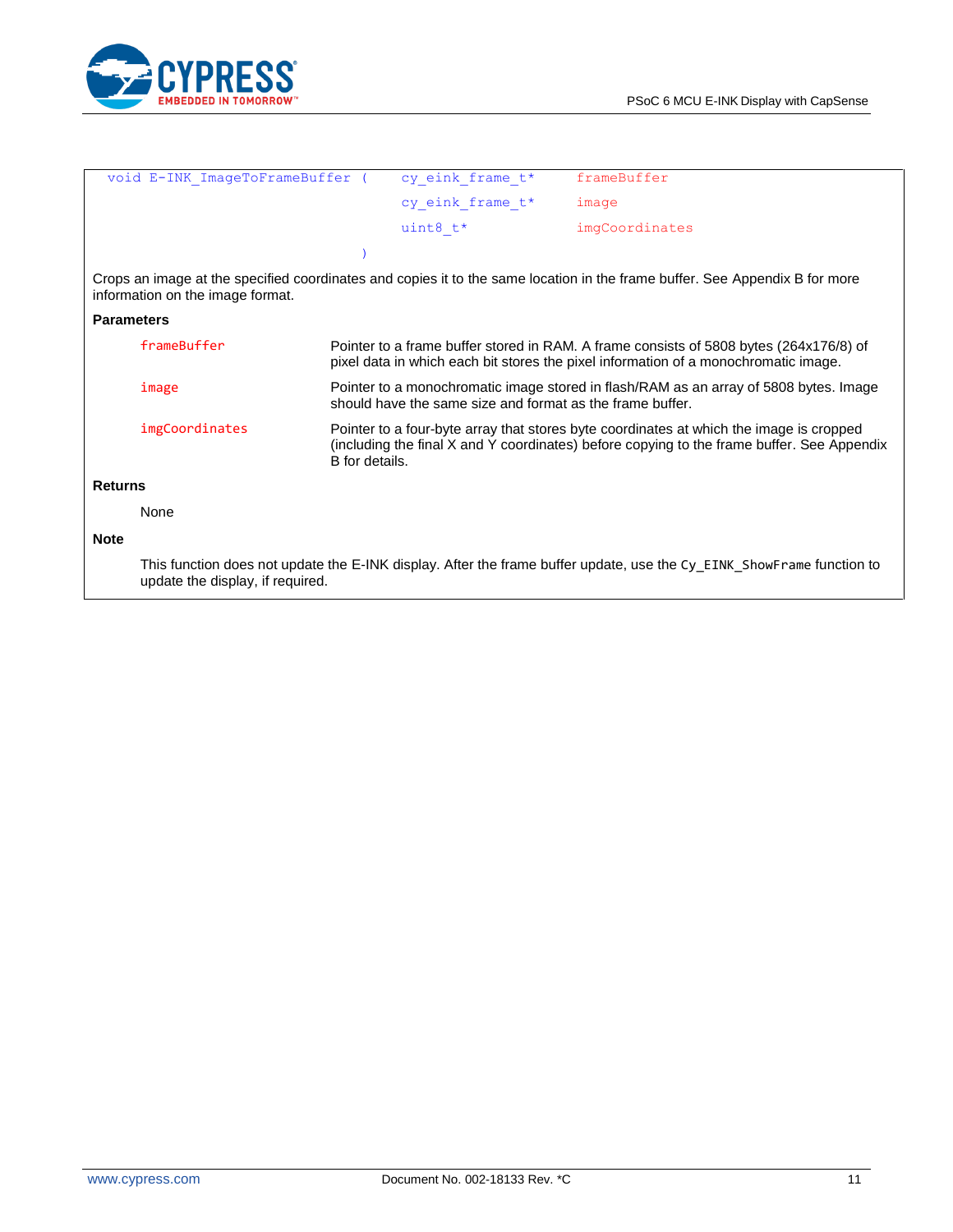

|                   | void E-INK ImageToFrameBuffer (  |                | cy eink frame t*                                          | frameBuffer                                                                                                                                                                           |
|-------------------|----------------------------------|----------------|-----------------------------------------------------------|---------------------------------------------------------------------------------------------------------------------------------------------------------------------------------------|
|                   |                                  |                | cy eink frame t*                                          | image                                                                                                                                                                                 |
|                   |                                  |                | uint8 $t^*$                                               | imgCoordinates                                                                                                                                                                        |
|                   |                                  |                |                                                           |                                                                                                                                                                                       |
|                   | information on the image format. |                |                                                           | Crops an image at the specified coordinates and copies it to the same location in the frame buffer. See Appendix B for more                                                           |
| <b>Parameters</b> |                                  |                |                                                           |                                                                                                                                                                                       |
|                   | frameBuffer                      |                |                                                           | Pointer to a frame buffer stored in RAM. A frame consists of 5808 bytes (264x176/8) of<br>pixel data in which each bit stores the pixel information of a monochromatic image.         |
|                   | image                            |                | should have the same size and format as the frame buffer. | Pointer to a monochromatic image stored in flash/RAM as an array of 5808 bytes. Image                                                                                                 |
|                   | imgCoordinates                   | B for details. |                                                           | Pointer to a four-byte array that stores byte coordinates at which the image is cropped<br>(including the final X and Y coordinates) before copying to the frame buffer. See Appendix |
| <b>Returns</b>    |                                  |                |                                                           |                                                                                                                                                                                       |
|                   | None                             |                |                                                           |                                                                                                                                                                                       |
| <b>Note</b>       |                                  |                |                                                           |                                                                                                                                                                                       |
|                   | update the display, if required. |                |                                                           | This function does not update the E-INK display. After the frame buffer update, use the Cy EINK ShowFrame function to                                                                 |
|                   |                                  |                |                                                           |                                                                                                                                                                                       |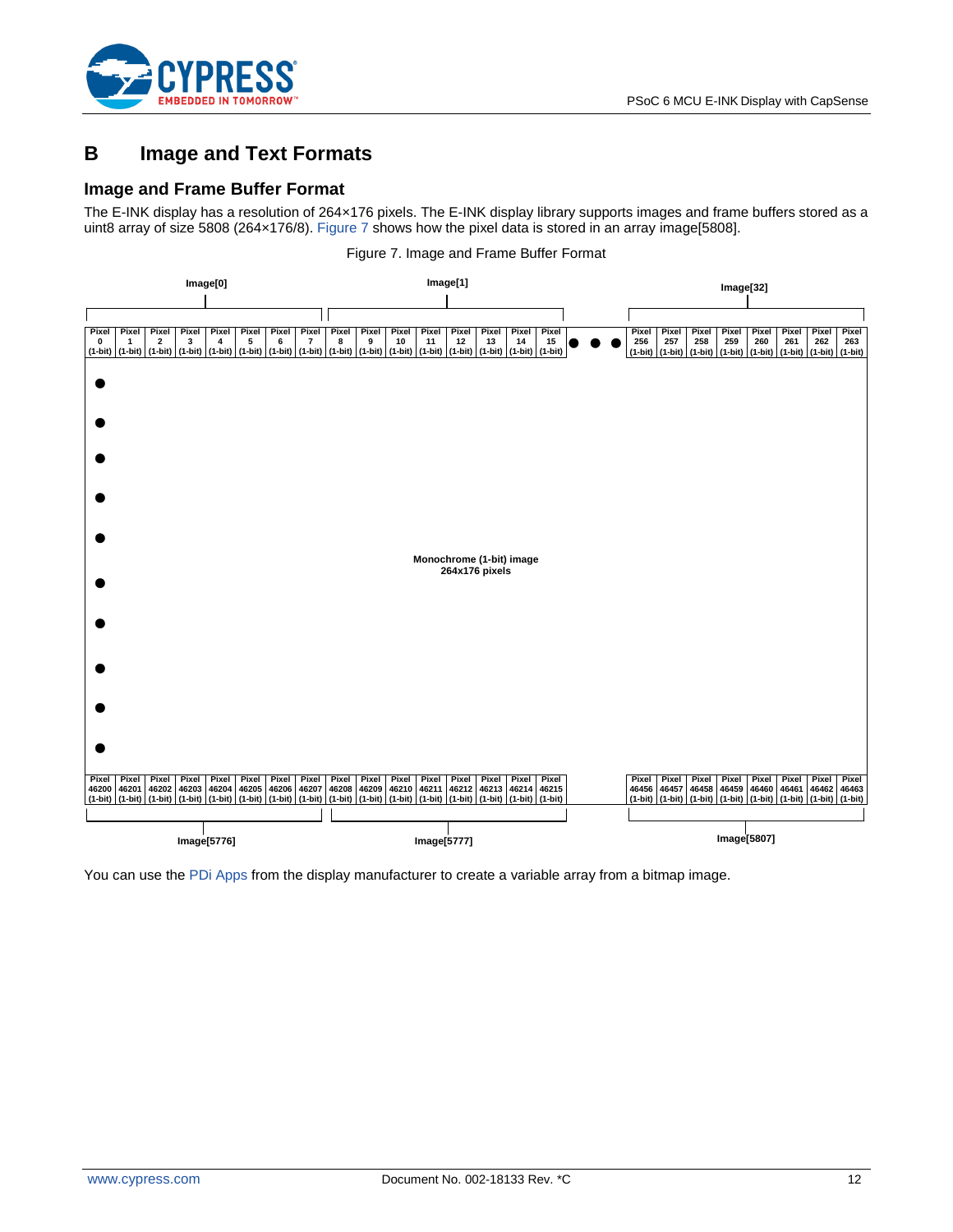

# <span id="page-11-0"></span>**B Image and Text Formats**

#### **Image and Frame Buffer Format**

The E-INK display has a resolution of 264×176 pixels. The E-INK display library supports images and frame buffers stored as a uint8 array of size 5808 (264×176/8). [Figure 7](#page-11-1) shows how the pixel data is stored in an array image[5808].

<span id="page-11-1"></span>

Figure 7. Image and Frame Buffer Format

You can use th[e PDi Apps](http://www.pervasivedisplays.com/download_forms/dl_ext2) from the display manufacturer to create a variable array from a bitmap image.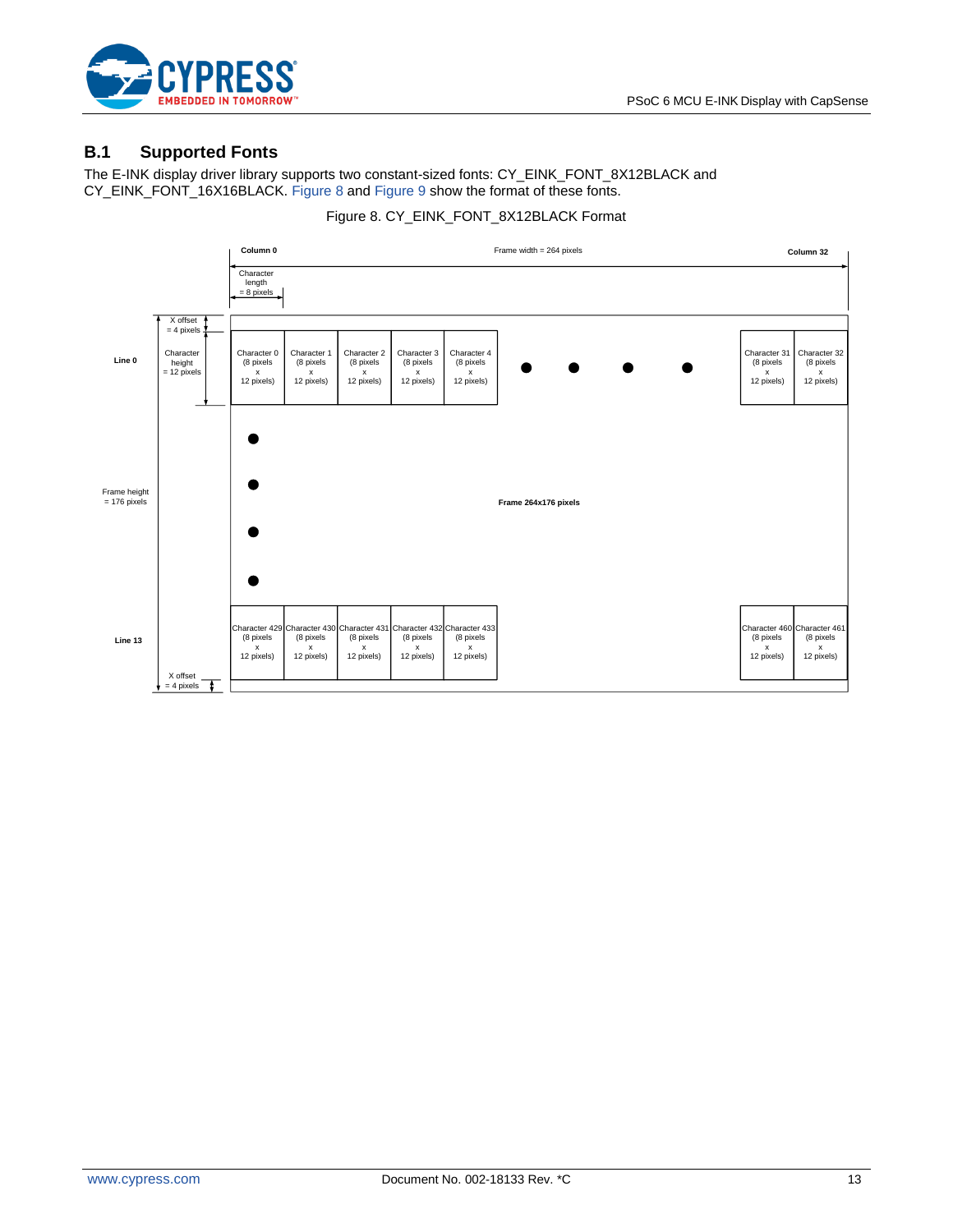

#### **B.1 Supported Fonts**

The E-INK display driver library supports two constant-sized fonts: CY\_EINK\_FONT\_8X12BLACK and CY\_EINK\_FONT\_16X16BLACK[. Figure 8](#page-12-0) an[d Figure 9](#page-13-0) show the format of these fonts.

<span id="page-12-0"></span>

#### Figure 8. CY\_EINK\_FONT\_8X12BLACK Format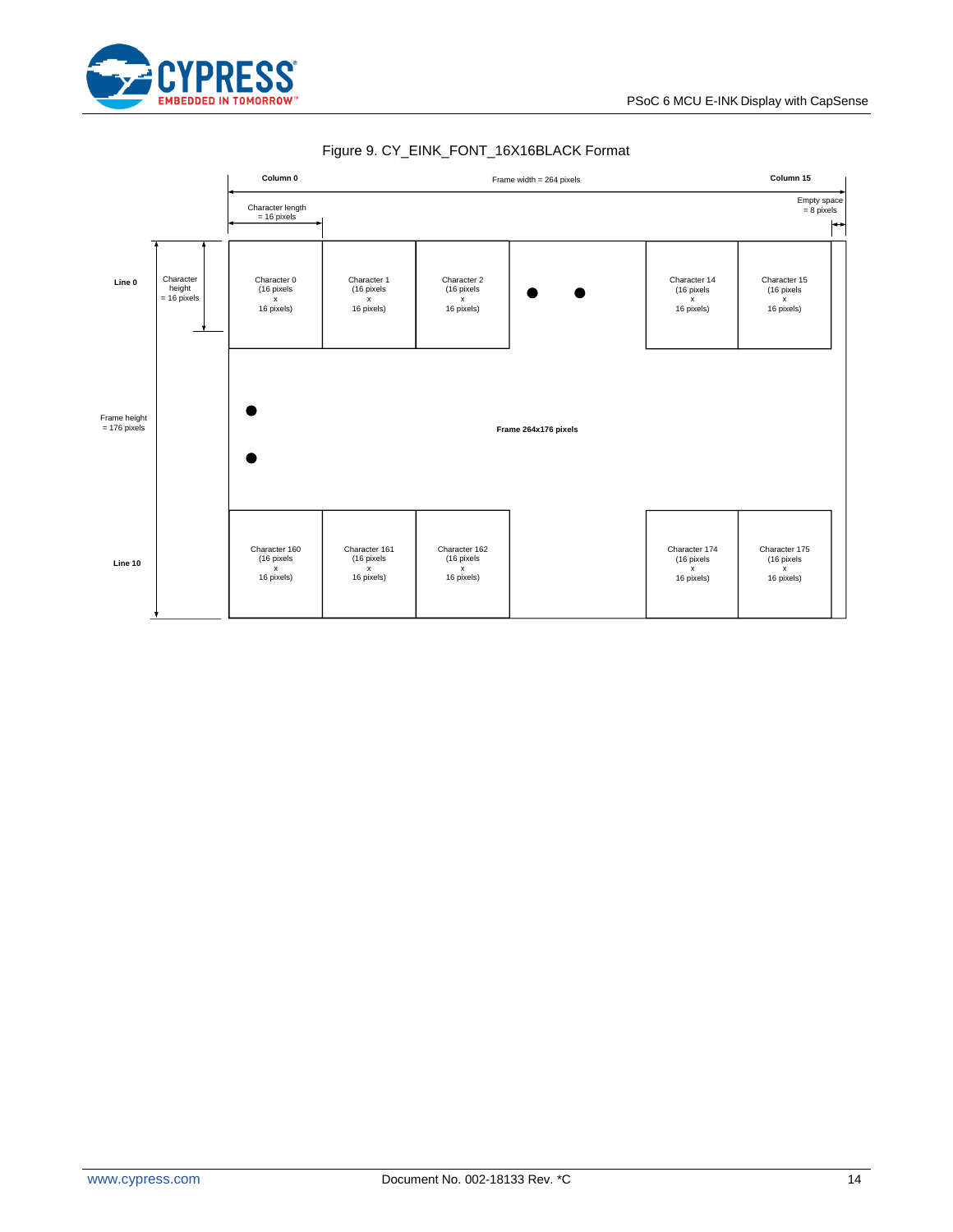

<span id="page-13-0"></span>

#### Figure 9. CY\_EINK\_FONT\_16X16BLACK Format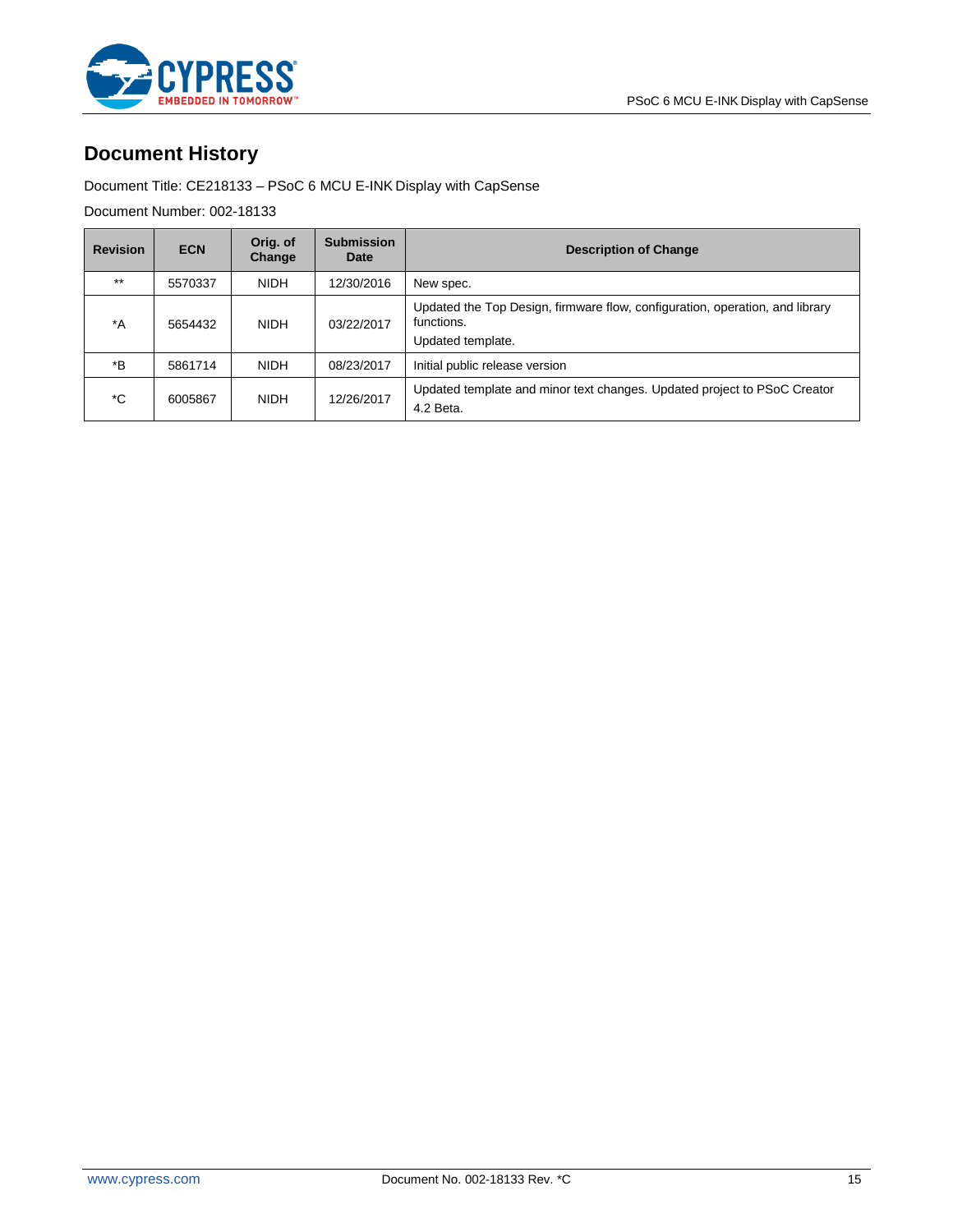

### **Document History**

Document Title: CE218133 – PSoC 6 MCU E-INK Display with CapSense

Document Number: 002-18133

| <b>Revision</b> | <b>ECN</b> | Orig. of<br>Change | <b>Submission</b><br>Date | <b>Description of Change</b>                                                                                    |
|-----------------|------------|--------------------|---------------------------|-----------------------------------------------------------------------------------------------------------------|
| $***$           | 5570337    | <b>NIDH</b>        | 12/30/2016                | New spec.                                                                                                       |
| $^*A$           | 5654432    | <b>NIDH</b>        | 03/22/2017                | Updated the Top Design, firmware flow, configuration, operation, and library<br>functions.<br>Updated template. |
| *B              | 5861714    | <b>NIDH</b>        | 08/23/2017                | Initial public release version                                                                                  |
| *C              | 6005867    | <b>NIDH</b>        | 12/26/2017                | Updated template and minor text changes. Updated project to PSoC Creator<br>4.2 Beta.                           |